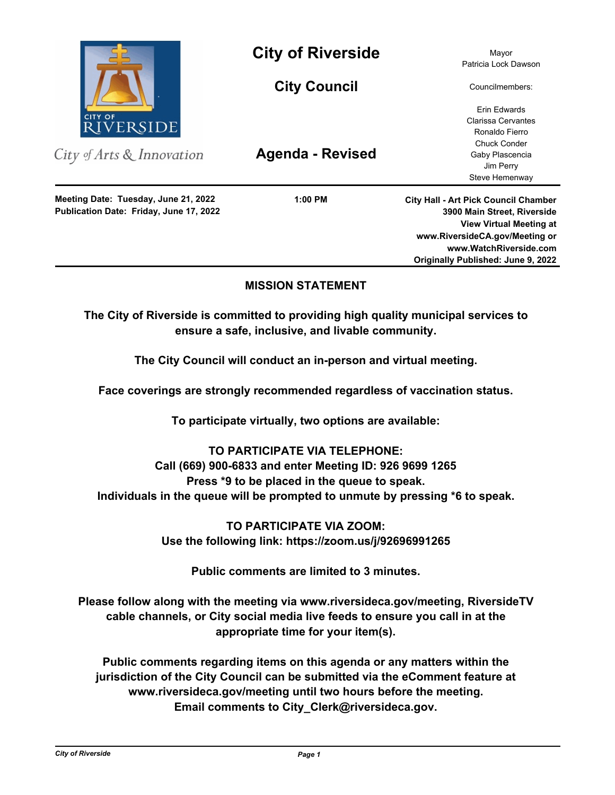

City of Arts & Innovation

**Publication Date: Friday, June 17, 2022 Meeting Date: Tuesday, June 21, 2022**

**City of Riverside** Mayor

**City Council**

**Agenda - Revised**

**1:00 PM**

Patricia Lock Dawson

Councilmembers:

Erin Edwards Clarissa Cervantes Ronaldo Fierro Chuck Conder Gaby Plascencia Jim Perry Steve Hemenway

**City Hall - Art Pick Council Chamber 3900 Main Street, Riverside View Virtual Meeting at www.RiversideCA.gov/Meeting or www.WatchRiverside.com Originally Published: June 9, 2022**

# **MISSION STATEMENT**

**The City of Riverside is committed to providing high quality municipal services to ensure a safe, inclusive, and livable community.**

**The City Council will conduct an in-person and virtual meeting.** 

**Face coverings are strongly recommended regardless of vaccination status.** 

**To participate virtually, two options are available:** 

# **TO PARTICIPATE VIA TELEPHONE:**

**Call (669) 900-6833 and enter Meeting ID: 926 9699 1265 Press \*9 to be placed in the queue to speak. Individuals in the queue will be prompted to unmute by pressing \*6 to speak.**

> **TO PARTICIPATE VIA ZOOM: Use the following link: https://zoom.us/j/92696991265**

> > **Public comments are limited to 3 minutes.**

**Please follow along with the meeting via www.riversideca.gov/meeting, RiversideTV cable channels, or City social media live feeds to ensure you call in at the appropriate time for your item(s).** 

**Public comments regarding items on this agenda or any matters within the jurisdiction of the City Council can be submitted via the eComment feature at www.riversideca.gov/meeting until two hours before the meeting. Email comments to City\_Clerk@riversideca.gov.**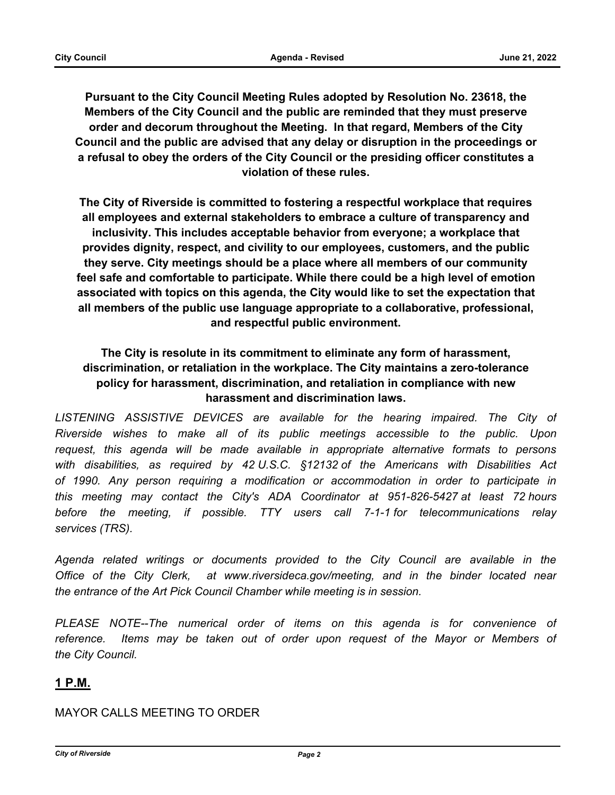**Pursuant to the City Council Meeting Rules adopted by Resolution No. 23618, the Members of the City Council and the public are reminded that they must preserve order and decorum throughout the Meeting. In that regard, Members of the City Council and the public are advised that any delay or disruption in the proceedings or a refusal to obey the orders of the City Council or the presiding officer constitutes a violation of these rules.**

**The City of Riverside is committed to fostering a respectful workplace that requires all employees and external stakeholders to embrace a culture of transparency and inclusivity. This includes acceptable behavior from everyone; a workplace that provides dignity, respect, and civility to our employees, customers, and the public they serve. City meetings should be a place where all members of our community feel safe and comfortable to participate. While there could be a high level of emotion associated with topics on this agenda, the City would like to set the expectation that all members of the public use language appropriate to a collaborative, professional, and respectful public environment.**

# **The City is resolute in its commitment to eliminate any form of harassment, discrimination, or retaliation in the workplace. The City maintains a zero-tolerance policy for harassment, discrimination, and retaliation in compliance with new harassment and discrimination laws.**

LISTENING ASSISTIVE DEVICES are available for the hearing impaired. The City of *Riverside wishes to make all of its public meetings accessible to the public. Upon request, this agenda will be made available in appropriate alternative formats to persons with disabilities, as required by 42 U.S.C. §12132 of the Americans with Disabilities Act of 1990. Any person requiring a modification or accommodation in order to participate in this meeting may contact the City's ADA Coordinator at 951-826-5427 at least 72 hours before the meeting, if possible. TTY users call 7-1-1 for telecommunications relay services (TRS).* 

*Agenda related writings or documents provided to the City Council are available in the Office of the City Clerk, at www.riversideca.gov/meeting, and in the binder located near the entrance of the Art Pick Council Chamber while meeting is in session.* 

PLEASE NOTE--The numerical order of items on this agenda is for convenience of *reference. Items may be taken out of order upon request of the Mayor or Members of the City Council.*

# **1 P.M.**

# MAYOR CALLS MEETING TO ORDER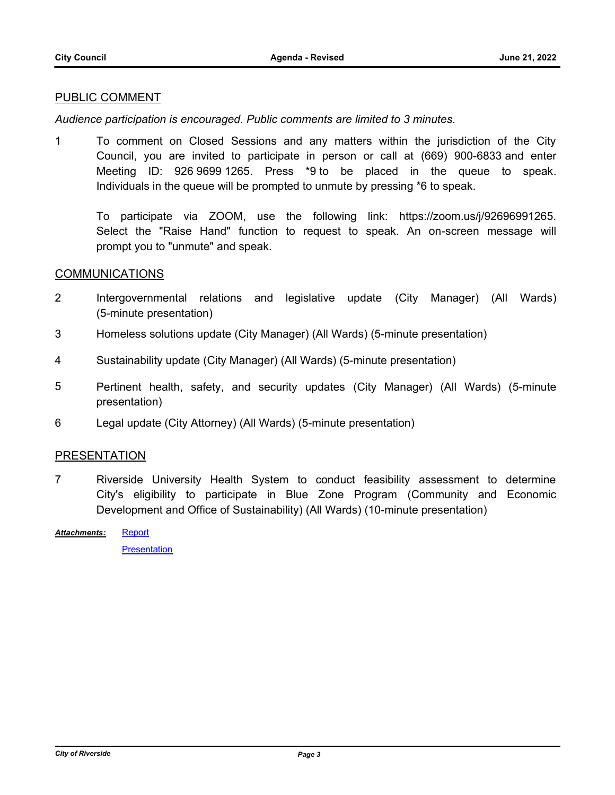### PUBLIC COMMENT

*Audience participation is encouraged. Public comments are limited to 3 minutes.*

1 To comment on Closed Sessions and any matters within the jurisdiction of the City Council, you are invited to participate in person or call at (669) 900-6833 and enter Meeting ID: 926 9699 1265. Press \*9 to be placed in the queue to speak. Individuals in the queue will be prompted to unmute by pressing \*6 to speak.

To participate via ZOOM, use the following link: https://zoom.us/j/92696991265. Select the "Raise Hand" function to request to speak. An on-screen message will prompt you to "unmute" and speak.

#### COMMUNICATIONS

- 2 Intergovernmental relations and legislative update (City Manager) (All Wards) (5-minute presentation)
- 3 Homeless solutions update (City Manager) (All Wards) (5-minute presentation)
- 4 Sustainability update (City Manager) (All Wards) (5-minute presentation)
- 5 Pertinent health, safety, and security updates (City Manager) (All Wards) (5-minute presentation)
- 6 Legal update (City Attorney) (All Wards) (5-minute presentation)

#### PRESENTATION

- 7 Riverside University Health System to conduct feasibility assessment to determine City's eligibility to participate in Blue Zone Program (Community and Economic Development and Office of Sustainability) (All Wards) (10-minute presentation)
- **[Report](http://riversideca.legistar.com/gateway.aspx?M=F&ID=5c157b7a-57f0-44f5-ba1e-7b9efb97a32d.docx)** *Attachments:*

**[Presentation](http://riversideca.legistar.com/gateway.aspx?M=F&ID=a466930f-62e6-48dc-aa40-5df87123bf52.pdf)**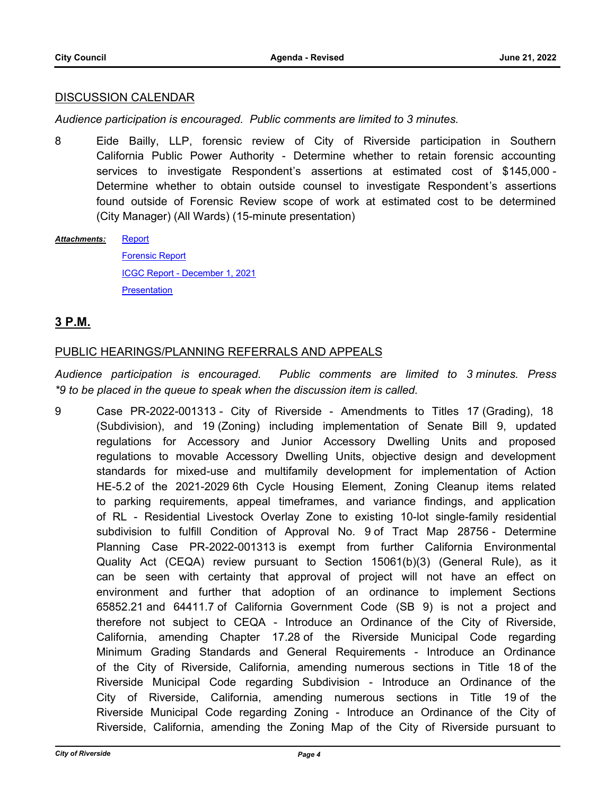#### DISCUSSION CALENDAR

*Audience participation is encouraged. Public comments are limited to 3 minutes.*

8 Eide Bailly, LLP, forensic review of City of Riverside participation in Southern California Public Power Authority - Determine whether to retain forensic accounting services to investigate Respondent's assertions at estimated cost of \$145,000 - Determine whether to obtain outside counsel to investigate Respondent's assertions found outside of Forensic Review scope of work at estimated cost to be determined (City Manager) (All Wards) (15-minute presentation)

**[Report](http://riversideca.legistar.com/gateway.aspx?M=F&ID=e6ba3877-299e-427b-9829-78bcc2c18c1c.docx)** *Attachments:*

> [Forensic Report](http://riversideca.legistar.com/gateway.aspx?M=F&ID=bae5a69e-6d34-43ef-9872-022f93219293.pdf) [ICGC Report - December 1, 2021](http://riversideca.legistar.com/gateway.aspx?M=F&ID=c61d22c2-ace9-4fc2-b10a-f80e3e3e5f82.pdf) [Presentation](http://riversideca.legistar.com/gateway.aspx?M=F&ID=850ceba5-1827-4b69-8ac4-12bee18993d5.pdf)

# **3 P.M.**

## PUBLIC HEARINGS/PLANNING REFERRALS AND APPEALS

*Audience participation is encouraged. Public comments are limited to 3 minutes. Press \*9 to be placed in the queue to speak when the discussion item is called.*

9 Case PR-2022-001313 - City of Riverside - Amendments to Titles 17 (Grading), 18 (Subdivision), and 19 (Zoning) including implementation of Senate Bill 9, updated regulations for Accessory and Junior Accessory Dwelling Units and proposed regulations to movable Accessory Dwelling Units, objective design and development standards for mixed-use and multifamily development for implementation of Action HE-5.2 of the 2021-2029 6th Cycle Housing Element, Zoning Cleanup items related to parking requirements, appeal timeframes, and variance findings, and application of RL - Residential Livestock Overlay Zone to existing 10-lot single-family residential subdivision to fulfill Condition of Approval No. 9 of Tract Map 28756 - Determine Planning Case PR-2022-001313 is exempt from further California Environmental Quality Act (CEQA) review pursuant to Section 15061(b)(3) (General Rule), as it can be seen with certainty that approval of project will not have an effect on environment and further that adoption of an ordinance to implement Sections 65852.21 and 64411.7 of California Government Code (SB 9) is not a project and therefore not subject to CEQA - Introduce an Ordinance of the City of Riverside, California, amending Chapter 17.28 of the Riverside Municipal Code regarding Minimum Grading Standards and General Requirements - Introduce an Ordinance of the City of Riverside, California, amending numerous sections in Title 18 of the Riverside Municipal Code regarding Subdivision - Introduce an Ordinance of the City of Riverside, California, amending numerous sections in Title 19 of the Riverside Municipal Code regarding Zoning - Introduce an Ordinance of the City of Riverside, California, amending the Zoning Map of the City of Riverside pursuant to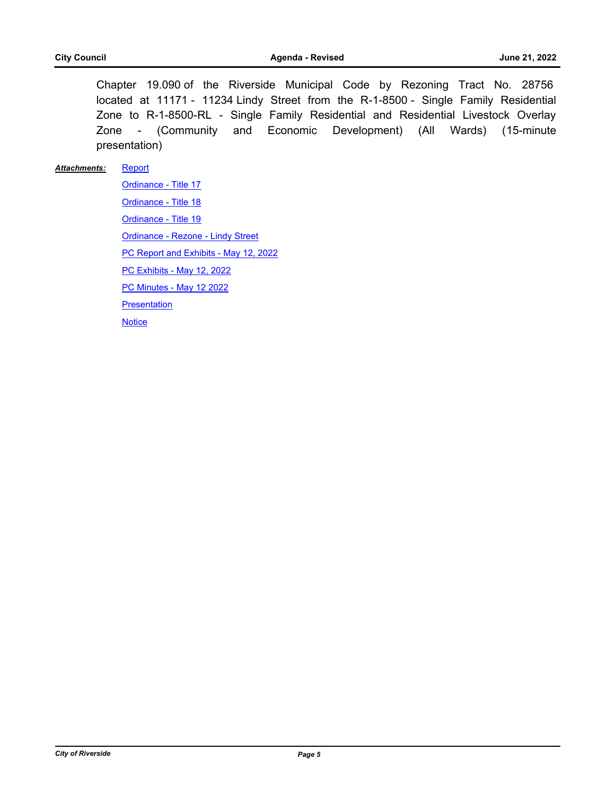Chapter 19.090 of the Riverside Municipal Code by Rezoning Tract No. 28756 located at 11171 - 11234 Lindy Street from the R-1-8500 - Single Family Residential Zone to R-1-8500-RL - Single Family Residential and Residential Livestock Overlay Zone - (Community and Economic Development) (All Wards) (15-minute presentation)

#### **[Report](http://riversideca.legistar.com/gateway.aspx?M=F&ID=02378f27-b5a9-459c-8304-cb07d676b3f0.docx)** *Attachments:*

[Ordinance - Title 17](http://riversideca.legistar.com/gateway.aspx?M=F&ID=785e4ea3-73b9-4538-8ca7-39c5d26cdeb9.pdf) [Ordinance - Title 18](http://riversideca.legistar.com/gateway.aspx?M=F&ID=09f14477-30f2-4f73-9ad1-ffb64a2051cc.pdf) [Ordinance - Title 19](http://riversideca.legistar.com/gateway.aspx?M=F&ID=bb349465-1046-490f-8001-7ab69f42e57c.pdf) [Ordinance - Rezone - Lindy Street](http://riversideca.legistar.com/gateway.aspx?M=F&ID=d53a110f-c10b-4f65-bb97-ef5892bf0e12.pdf) [PC Report and Exhibits - May 12, 2022](http://riversideca.legistar.com/gateway.aspx?M=F&ID=d78a9f68-6f04-4038-8e65-d5ec69fb0467.pdf) [PC Exhibits - May 12, 2022](http://riversideca.legistar.com/gateway.aspx?M=F&ID=4e9b5dcc-b608-493a-aaaf-243d80c5cae9.pdf) [PC Minutes - May 12 2022](http://riversideca.legistar.com/gateway.aspx?M=F&ID=85de9ef1-8291-48ad-92de-4ce383883c3a.pdf) [Presentation](http://riversideca.legistar.com/gateway.aspx?M=F&ID=792a5181-b849-454a-8550-aa7d5f0ba739.pdf) **[Notice](http://riversideca.legistar.com/gateway.aspx?M=F&ID=2f1e2852-a8e1-49c1-8c5b-70b906d1e83c.pdf)**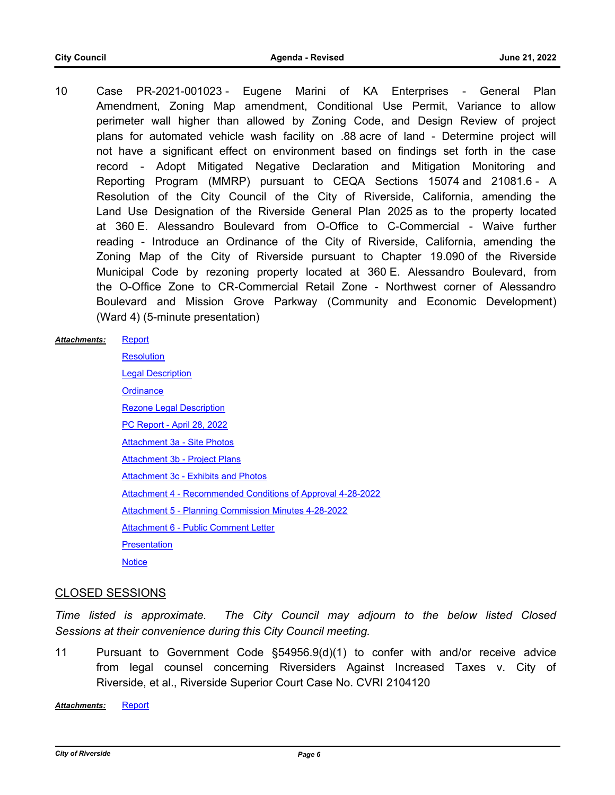10 Case PR-2021-001023 - Eugene Marini of KA Enterprises - General Plan Amendment, Zoning Map amendment, Conditional Use Permit, Variance to allow perimeter wall higher than allowed by Zoning Code, and Design Review of project plans for automated vehicle wash facility on .88 acre of land - Determine project will not have a significant effect on environment based on findings set forth in the case record - Adopt Mitigated Negative Declaration and Mitigation Monitoring and Reporting Program (MMRP) pursuant to CEQA Sections 15074 and 21081.6 - A Resolution of the City Council of the City of Riverside, California, amending the Land Use Designation of the Riverside General Plan 2025 as to the property located at 360 E. Alessandro Boulevard from O-Office to C-Commercial - Waive further reading - Introduce an Ordinance of the City of Riverside, California, amending the Zoning Map of the City of Riverside pursuant to Chapter 19.090 of the Riverside Municipal Code by rezoning property located at 360 E. Alessandro Boulevard, from the O-Office Zone to CR-Commercial Retail Zone - Northwest corner of Alessandro Boulevard and Mission Grove Parkway (Community and Economic Development) (Ward 4) (5-minute presentation)

#### **[Report](http://riversideca.legistar.com/gateway.aspx?M=F&ID=2b16d43a-e5dc-46e2-868a-017591813745.docx)** *Attachments:*

**[Resolution](http://riversideca.legistar.com/gateway.aspx?M=F&ID=ee7a737b-181c-4dba-8886-2e7df9854ca7.docx) [Legal Description](http://riversideca.legistar.com/gateway.aspx?M=F&ID=69ac3df8-1f81-4978-9a2d-5504ab8ca861.pdf) [Ordinance](http://riversideca.legistar.com/gateway.aspx?M=F&ID=aa69cc5d-390e-4ad4-82b9-0b0d42bdfa98.doc)** [Rezone Legal Description](http://riversideca.legistar.com/gateway.aspx?M=F&ID=c5f6a263-6c3f-41e2-8586-127ba841ff3e.pdf) [PC Report - April 28, 2022](http://riversideca.legistar.com/gateway.aspx?M=F&ID=b0eea1c0-1032-46e2-b7d9-8c33ab57dfe5.pdf) [Attachment 3a - Site Photos](http://riversideca.legistar.com/gateway.aspx?M=F&ID=0d6da7ed-f6db-47a3-b0f5-facbf05e72e1.pdf) [Attachment 3b - Project Plans](http://riversideca.legistar.com/gateway.aspx?M=F&ID=94d68e2b-e1d2-4c51-8f30-ccf418a637ca.pdf) [Attachment 3c - Exhibits and Photos](http://riversideca.legistar.com/gateway.aspx?M=F&ID=91758126-148d-46e0-82da-76e13bacf684.pdf) [Attachment 4 - Recommended Conditions of Approval 4-28-2022](http://riversideca.legistar.com/gateway.aspx?M=F&ID=57533600-517a-469e-bc49-57566d692bd6.pdf) [Attachment 5 - Planning Commission Minutes 4-28-2022](http://riversideca.legistar.com/gateway.aspx?M=F&ID=50b8deba-900f-4b50-974a-c3d6882dd457.pdf) [Attachment 6 - Public Comment Letter](http://riversideca.legistar.com/gateway.aspx?M=F&ID=2eba9386-47ab-43f8-975e-e1024d90693c.pdf) **[Presentation](http://riversideca.legistar.com/gateway.aspx?M=F&ID=b8d5cce0-007d-4c94-9293-7f52e7411895.pdf) [Notice](http://riversideca.legistar.com/gateway.aspx?M=F&ID=51bcbe69-0b94-4f05-bb62-4b1578fe4a0d.pdf)** 

#### CLOSED SESSIONS

*Time listed is approximate. The City Council may adjourn to the below listed Closed Sessions at their convenience during this City Council meeting.*

11 Pursuant to Government Code §54956.9(d)(1) to confer with and/or receive advice from legal counsel concerning Riversiders Against Increased Taxes v. City of Riverside, et al., Riverside Superior Court Case No. CVRI 2104120

*Attachments:* [Report](http://riversideca.legistar.com/gateway.aspx?M=F&ID=77eda656-4707-4298-8588-a245077084e3.doc)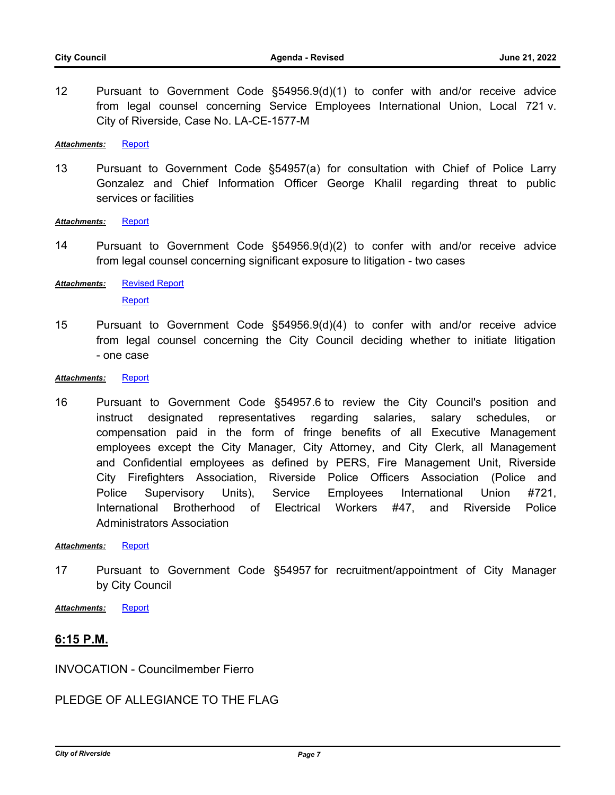12 Pursuant to Government Code §54956.9(d)(1) to confer with and/or receive advice from legal counsel concerning Service Employees International Union, Local 721 v. City of Riverside, Case No. LA-CE-1577-M

*Attachments:* [Report](http://riversideca.legistar.com/gateway.aspx?M=F&ID=6138131d-2be9-4e18-bf1b-b06b90bd1367.doc)

13 Pursuant to Government Code §54957(a) for consultation with Chief of Police Larry Gonzalez and Chief Information Officer George Khalil regarding threat to public services or facilities

Attachments: [Report](http://riversideca.legistar.com/gateway.aspx?M=F&ID=32eb9b82-c5f5-4e6e-ad20-92a3d4aacd7e.doc)

14 Pursuant to Government Code §54956.9(d)(2) to confer with and/or receive advice from legal counsel concerning significant exposure to litigation - two cases

[Revised Report](http://riversideca.legistar.com/gateway.aspx?M=F&ID=44c0e5c7-d23b-4d90-af40-5c5972f34b27.pdf) [Report](http://riversideca.legistar.com/gateway.aspx?M=F&ID=e3b573ad-a53a-4db5-b01e-dcbb69800664.doc) *Attachments:*

- 15 Pursuant to Government Code §54956.9(d)(4) to confer with and/or receive advice from legal counsel concerning the City Council deciding whether to initiate litigation - one case
- *Attachments:* [Report](http://riversideca.legistar.com/gateway.aspx?M=F&ID=3d0f7889-d1d8-4a60-b6ba-1c9ce56120c1.doc)
- 16 Pursuant to Government Code §54957.6 to review the City Council's position and instruct designated representatives regarding salaries, salary schedules, or compensation paid in the form of fringe benefits of all Executive Management employees except the City Manager, City Attorney, and City Clerk, all Management and Confidential employees as defined by PERS, Fire Management Unit, Riverside City Firefighters Association, Riverside Police Officers Association (Police and Police Supervisory Units), Service Employees International Union #721, International Brotherhood of Electrical Workers #47, and Riverside Police Administrators Association

*Attachments:* [Report](http://riversideca.legistar.com/gateway.aspx?M=F&ID=958e2149-e864-4556-a340-5d19f9be8013.doc)

17 Pursuant to Government Code §54957 for recruitment/appointment of City Manager by City Council

*Attachments:* [Report](http://riversideca.legistar.com/gateway.aspx?M=F&ID=9f3d4a1d-1ca2-4705-96b8-248233c9873e.pdf)

# **6:15 P.M.**

INVOCATION - Councilmember Fierro

PLEDGE OF ALLEGIANCE TO THE FLAG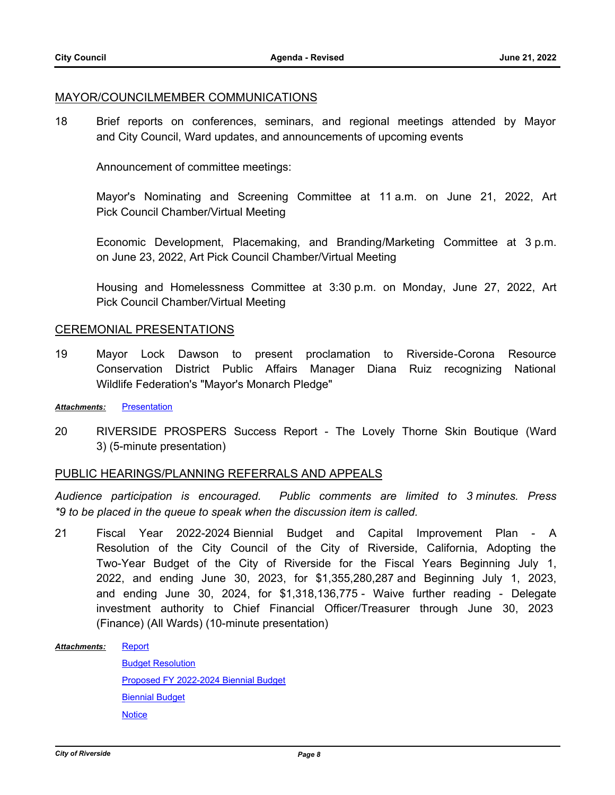#### MAYOR/COUNCILMEMBER COMMUNICATIONS

18 Brief reports on conferences, seminars, and regional meetings attended by Mayor and City Council, Ward updates, and announcements of upcoming events

Announcement of committee meetings:

Mayor's Nominating and Screening Committee at 11 a.m. on June 21, 2022, Art Pick Council Chamber/Virtual Meeting

Economic Development, Placemaking, and Branding/Marketing Committee at 3 p.m. on June 23, 2022, Art Pick Council Chamber/Virtual Meeting

Housing and Homelessness Committee at 3:30 p.m. on Monday, June 27, 2022, Art Pick Council Chamber/Virtual Meeting

#### CEREMONIAL PRESENTATIONS

19 Mayor Lock Dawson to present proclamation to Riverside-Corona Resource Conservation District Public Affairs Manager Diana Ruiz recognizing National Wildlife Federation's "Mayor's Monarch Pledge"

*Attachments:* [Presentation](http://riversideca.legistar.com/gateway.aspx?M=F&ID=37c1a102-0671-4a10-a483-eb3c57e2a4ef.pdf)

20 RIVERSIDE PROSPERS Success Report - The Lovely Thorne Skin Boutique (Ward 3) (5-minute presentation)

#### PUBLIC HEARINGS/PLANNING REFERRALS AND APPEALS

*Audience participation is encouraged. Public comments are limited to 3 minutes. Press \*9 to be placed in the queue to speak when the discussion item is called.*

21 Fiscal Year 2022-2024 Biennial Budget and Capital Improvement Plan - A Resolution of the City Council of the City of Riverside, California, Adopting the Two-Year Budget of the City of Riverside for the Fiscal Years Beginning July 1, 2022, and ending June 30, 2023, for \$1,355,280,287 and Beginning July 1, 2023, and ending June 30, 2024, for \$1,318,136,775 - Waive further reading - Delegate investment authority to Chief Financial Officer/Treasurer through June 30, 2023 (Finance) (All Wards) (10-minute presentation)

**[Report](http://riversideca.legistar.com/gateway.aspx?M=F&ID=aaadd394-f5bc-48b2-9be7-6f15829d655e.docx)** [Budget Resolution](http://riversideca.legistar.com/gateway.aspx?M=F&ID=1cb5bef4-b0b3-40fd-9baa-6d1822eefa15.doc) [Proposed FY 2022-2024 Biennial Budget](http://riversideca.legistar.com/gateway.aspx?M=F&ID=86837670-99b9-407d-93b4-2e16c76fb919.pdf) [Biennial Budget](http://riversideca.legistar.com/gateway.aspx?M=F&ID=2ac707d4-14b0-4875-af62-7ace2f0b201d.pdf) **[Notice](http://riversideca.legistar.com/gateway.aspx?M=F&ID=52bdb915-3e0f-4650-9e3b-b04bed2a5ac6.pdf)** *Attachments:*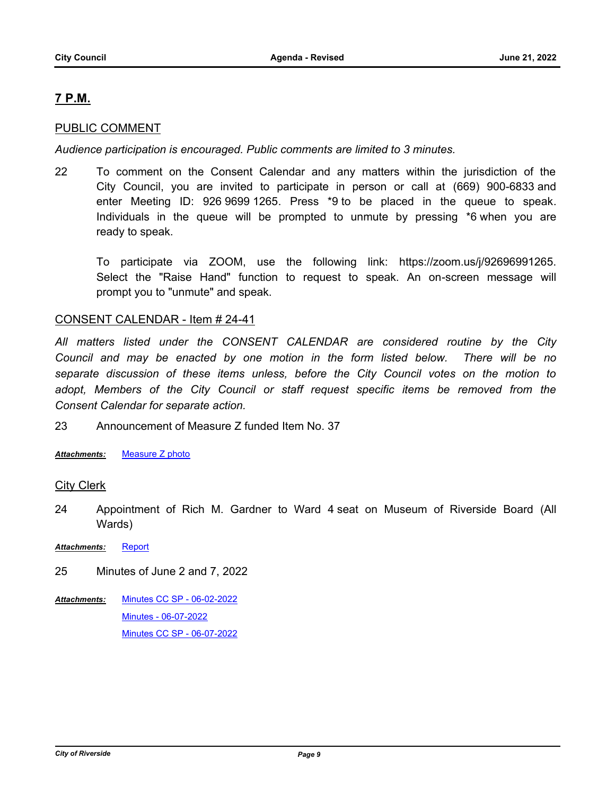# **7 P.M.**

### PUBLIC COMMENT

*Audience participation is encouraged. Public comments are limited to 3 minutes.*

22 To comment on the Consent Calendar and any matters within the jurisdiction of the City Council, you are invited to participate in person or call at (669) 900-6833 and enter Meeting ID: 926 9699 1265. Press \*9 to be placed in the queue to speak. Individuals in the queue will be prompted to unmute by pressing \*6 when you are ready to speak.

To participate via ZOOM, use the following link: https://zoom.us/j/92696991265. Select the "Raise Hand" function to request to speak. An on-screen message will prompt you to "unmute" and speak.

#### CONSENT CALENDAR - Item # 24-41

*All matters listed under the CONSENT CALENDAR are considered routine by the City Council and may be enacted by one motion in the form listed below. There will be no separate discussion of these items unless, before the City Council votes on the motion to*  adopt, Members of the City Council or staff request specific items be removed from the *Consent Calendar for separate action.*

23 Announcement of Measure Z funded Item No. 37

*Attachments:* [Measure Z photo](http://riversideca.legistar.com/gateway.aspx?M=F&ID=694abc98-53e0-4ada-a379-b8c1d543a704.pdf)

#### **City Clerk**

- 24 Appointment of Rich M. Gardner to Ward 4 seat on Museum of Riverside Board (All Wards)
- Attachments: [Report](http://riversideca.legistar.com/gateway.aspx?M=F&ID=37fd0487-e757-4b26-9070-ce604fce8942.doc)
- 25 Minutes of June 2 and 7, 2022
- [Minutes CC SP 06-02-2022](http://riversideca.legistar.com/gateway.aspx?M=F&ID=22589725-80dd-4c0e-b1ba-ab7d8ff28a0b.pdf) [Minutes - 06-07-2022](http://riversideca.legistar.com/gateway.aspx?M=F&ID=5974be48-b82f-4ddc-90e9-16ad21b2db4b.pdf) [Minutes CC SP - 06-07-2022](http://riversideca.legistar.com/gateway.aspx?M=F&ID=8220691f-e60b-498e-86a1-80b519107d54.pdf) *Attachments:*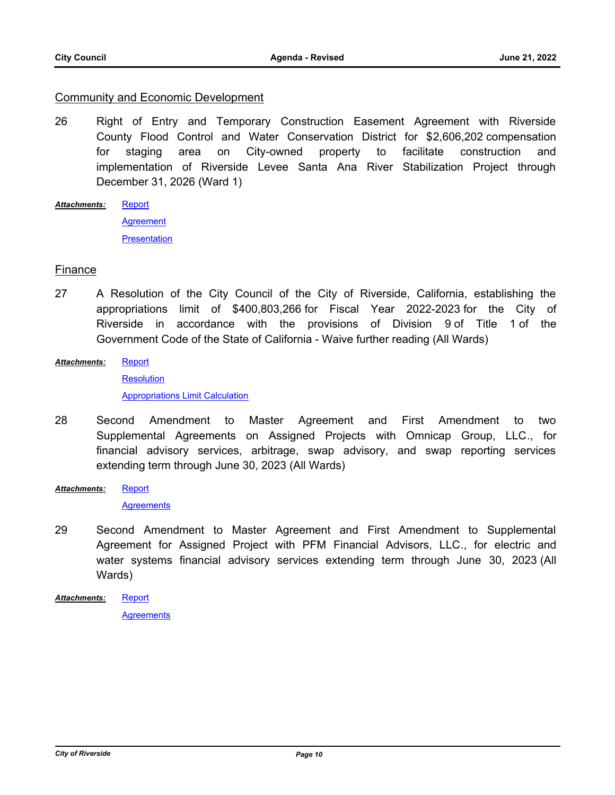#### Community and Economic Development

- 26 Right of Entry and Temporary Construction Easement Agreement with Riverside County Flood Control and Water Conservation District for \$2,606,202 compensation for staging area on City-owned property to facilitate construction and implementation of Riverside Levee Santa Ana River Stabilization Project through December 31, 2026 (Ward 1)
- **[Report](http://riversideca.legistar.com/gateway.aspx?M=F&ID=80664371-89f4-43f2-ad7c-a43436638f25.docx)** *Attachments:*

**[Agreement](http://riversideca.legistar.com/gateway.aspx?M=F&ID=d5040a40-2583-4573-ba05-2be40cbc053e.pdf) [Presentation](http://riversideca.legistar.com/gateway.aspx?M=F&ID=87bb9252-0fb8-4f1b-a385-1b9918bfe905.pdf)** 

### Finance

- 27 A Resolution of the City Council of the City of Riverside, California, establishing the appropriations limit of \$400,803,266 for Fiscal Year 2022-2023 for the City of Riverside in accordance with the provisions of Division 9 of Title 1 of the Government Code of the State of California - Waive further reading (All Wards)
- **[Report](http://riversideca.legistar.com/gateway.aspx?M=F&ID=da9190cf-06f2-41b0-84c1-d58e381b2e9b.docx)** *Attachments:*

**[Resolution](http://riversideca.legistar.com/gateway.aspx?M=F&ID=25a502bd-f6ad-4356-a2c8-f37fdb11f24c.docx)** [Appropriations Limit Calculation](http://riversideca.legistar.com/gateway.aspx?M=F&ID=874d8b2d-2367-4805-a808-33672ac4d8a1.pdf)

- 28 Second Amendment to Master Agreement and First Amendment to two Supplemental Agreements on Assigned Projects with Omnicap Group, LLC., for financial advisory services, arbitrage, swap advisory, and swap reporting services extending term through June 30, 2023 (All Wards)
- **[Report](http://riversideca.legistar.com/gateway.aspx?M=F&ID=7150b3b3-04e0-4ac5-9af1-9742194df340.docx)** *Attachments:*

**[Agreements](http://riversideca.legistar.com/gateway.aspx?M=F&ID=842af969-c26e-42c6-9655-221dc8e39904.pdf)** 

29 Second Amendment to Master Agreement and First Amendment to Supplemental Agreement for Assigned Project with PFM Financial Advisors, LLC., for electric and water systems financial advisory services extending term through June 30, 2023 (All Wards)

**[Report](http://riversideca.legistar.com/gateway.aspx?M=F&ID=31f4e718-8296-4361-b6d4-a31a816f78b4.docx) [Agreements](http://riversideca.legistar.com/gateway.aspx?M=F&ID=70889707-771a-43c8-a4a5-52fcbec85d2d.pdf)** *Attachments:*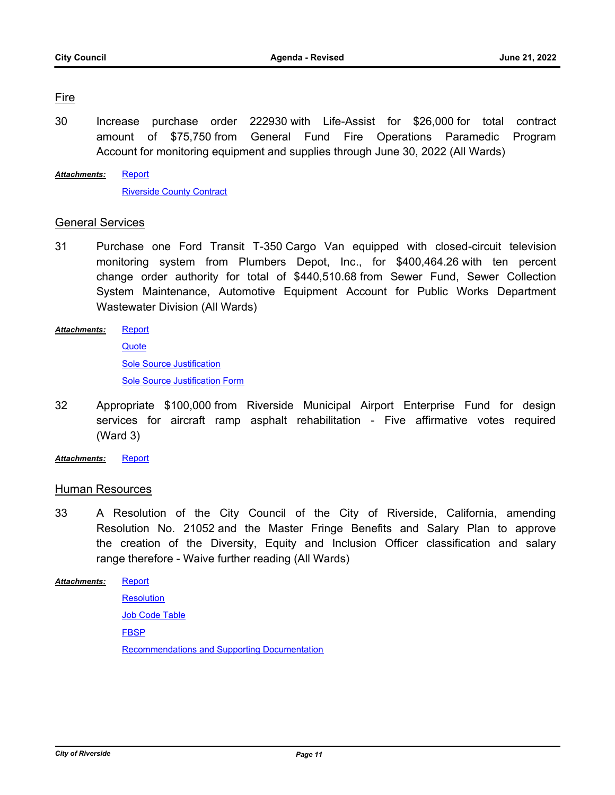### Fire

30 Increase purchase order 222930 with Life-Assist for \$26,000 for total contract amount of \$75,750 from General Fund Fire Operations Paramedic Program Account for monitoring equipment and supplies through June 30, 2022 (All Wards)

[Report](http://riversideca.legistar.com/gateway.aspx?M=F&ID=58ed1621-bf4f-4ee4-880e-b04190e6f047.docx) [Riverside County Contract](http://riversideca.legistar.com/gateway.aspx?M=F&ID=e5993c1e-e52b-4c75-91c8-ab7b039a5d05.pdf) *Attachments:*

### General Services

- 31 Purchase one Ford Transit T-350 Cargo Van equipped with closed-circuit television monitoring system from Plumbers Depot, Inc., for \$400,464.26 with ten percent change order authority for total of \$440,510.68 from Sewer Fund, Sewer Collection System Maintenance, Automotive Equipment Account for Public Works Department Wastewater Division (All Wards)
- **[Report](http://riversideca.legistar.com/gateway.aspx?M=F&ID=b3a7ea81-cdb7-4507-94a0-00d5aa969b02.docx) [Quote](http://riversideca.legistar.com/gateway.aspx?M=F&ID=b7d716a4-c04e-4f5e-9517-fd2579f0a975.pdf)** [Sole Source Justification](http://riversideca.legistar.com/gateway.aspx?M=F&ID=86b5b32d-1364-4371-aa5d-bf247b0e3bb5.pdf) [Sole Source Justification Form](http://riversideca.legistar.com/gateway.aspx?M=F&ID=c761073c-cc28-44e3-b121-92f22d8e6c2a.pdf) *Attachments:*
- 32 Appropriate \$100,000 from Riverside Municipal Airport Enterprise Fund for design services for aircraft ramp asphalt rehabilitation - Five affirmative votes required (Ward 3)
- *Attachments:* [Report](http://riversideca.legistar.com/gateway.aspx?M=F&ID=36de42a5-4ed9-46f5-a134-3377cbf31b48.docx)

#### Human Resources

33 A Resolution of the City Council of the City of Riverside, California, amending Resolution No. 21052 and the Master Fringe Benefits and Salary Plan to approve the creation of the Diversity, Equity and Inclusion Officer classification and salary range therefore - Waive further reading (All Wards)

[Report](http://riversideca.legistar.com/gateway.aspx?M=F&ID=3924dad9-6d99-486b-9f22-741a6396a402.docx) **[Resolution](http://riversideca.legistar.com/gateway.aspx?M=F&ID=458ad0c6-aba4-46c7-904a-842a51a91c70.doc) [Job Code Table](http://riversideca.legistar.com/gateway.aspx?M=F&ID=c1d56aac-fa3a-44ef-bc89-96b5a90eb5ad.docx) [FBSP](http://riversideca.legistar.com/gateway.aspx?M=F&ID=88257211-f5b2-421b-8840-1ea3b4d188d2.docx)** [Recommendations and Supporting Documentation](http://riversideca.legistar.com/gateway.aspx?M=F&ID=292f0b29-49e6-4b86-a604-c31f7b53a3d7.pdf) *Attachments:*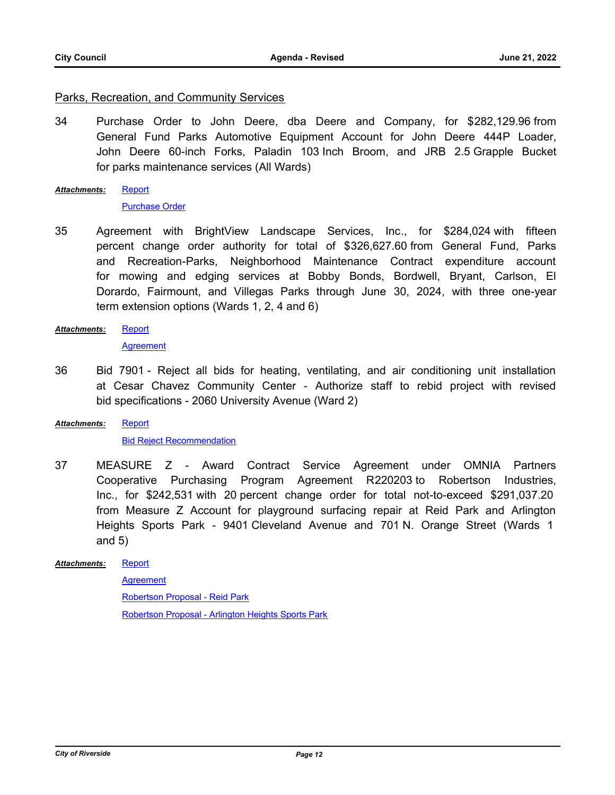#### Parks, Recreation, and Community Services

34 Purchase Order to John Deere, dba Deere and Company, for \$282,129.96 from General Fund Parks Automotive Equipment Account for John Deere 444P Loader, John Deere 60-inch Forks, Paladin 103 Inch Broom, and JRB 2.5 Grapple Bucket for parks maintenance services (All Wards)

[Report](http://riversideca.legistar.com/gateway.aspx?M=F&ID=610dad70-3f59-45f4-99f9-74ef2df35416.docx) *Attachments:*

#### [Purchase Order](http://riversideca.legistar.com/gateway.aspx?M=F&ID=7d633279-9a92-457f-836e-9cc6840663a6.pdf)

- 35 Agreement with BrightView Landscape Services, Inc., for \$284,024 with fifteen percent change order authority for total of \$326,627.60 from General Fund, Parks and Recreation-Parks, Neighborhood Maintenance Contract expenditure account for mowing and edging services at Bobby Bonds, Bordwell, Bryant, Carlson, El Dorardo, Fairmount, and Villegas Parks through June 30, 2024, with three one-year term extension options (Wards 1, 2, 4 and 6)
- [Report](http://riversideca.legistar.com/gateway.aspx?M=F&ID=d0380945-8a8c-46d7-af45-5bc2cec79f8f.docx) *Attachments:*

**[Agreement](http://riversideca.legistar.com/gateway.aspx?M=F&ID=4734d100-112a-4ebe-9a62-614381136c13.pdf)** 

36 Bid 7901 - Reject all bids for heating, ventilating, and air conditioning unit installation at Cesar Chavez Community Center - Authorize staff to rebid project with revised bid specifications - 2060 University Avenue (Ward 2)

#### [Report](http://riversideca.legistar.com/gateway.aspx?M=F&ID=e8762dff-31be-46e7-a6e9-50782e313b39.docx) *Attachments:*

#### **[Bid Reject Recommendation](http://riversideca.legistar.com/gateway.aspx?M=F&ID=b4a6e806-1618-4be4-be90-a16f4263f159.pdf)**

37 MEASURE Z - Award Contract Service Agreement under OMNIA Partners Cooperative Purchasing Program Agreement R220203 to Robertson Industries, Inc., for \$242,531 with 20 percent change order for total not-to-exceed \$291,037.20 from Measure Z Account for playground surfacing repair at Reid Park and Arlington Heights Sports Park - 9401 Cleveland Avenue and 701 N. Orange Street (Wards 1 and 5)

#### **[Report](http://riversideca.legistar.com/gateway.aspx?M=F&ID=83d505c1-6d30-4e48-b7a1-ba2a9902b16c.docx)** *Attachments:*

**[Agreement](http://riversideca.legistar.com/gateway.aspx?M=F&ID=47b3bc2c-da3c-47ce-87e3-5b3360c06265.pdf)** [Robertson Proposal - Reid Park](http://riversideca.legistar.com/gateway.aspx?M=F&ID=1a767a82-669b-49a0-a7aa-81349453613c.pdf) [Robertson Proposal - Arlington Heights Sports Park](http://riversideca.legistar.com/gateway.aspx?M=F&ID=f286eb85-0fb4-4ce2-bc3f-9d29e3c32b08.pdf)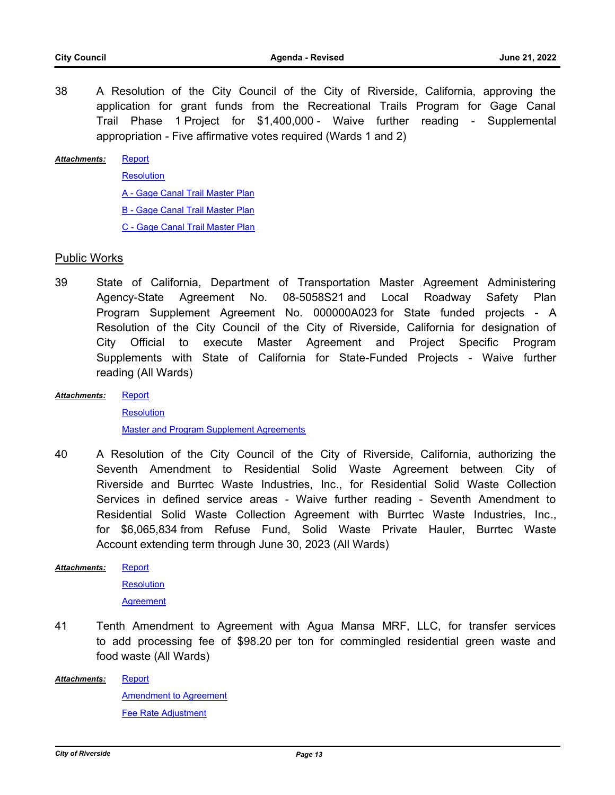38 A Resolution of the City Council of the City of Riverside, California, approving the application for grant funds from the Recreational Trails Program for Gage Canal Trail Phase 1 Project for \$1,400,000 - Waive further reading - Supplemental appropriation - Five affirmative votes required (Wards 1 and 2)

#### **[Report](http://riversideca.legistar.com/gateway.aspx?M=F&ID=67f23a5b-6cfa-4dd5-b5f5-1e2f79233c7e.docx)** *Attachments:*

**[Resolution](http://riversideca.legistar.com/gateway.aspx?M=F&ID=c2e24e1c-1e30-436e-9e0c-a1cb4b3f8c80.doc)** 

[A - Gage Canal Trail Master Plan](http://riversideca.legistar.com/gateway.aspx?M=F&ID=ee6bde9e-070a-42f4-b3b8-3283c187375c.pdf)

[B - Gage Canal Trail Master Plan](http://riversideca.legistar.com/gateway.aspx?M=F&ID=54079d9d-78cb-4af9-91b9-35f0f9b34c4a.pdf)

[C - Gage Canal Trail Master Plan](http://riversideca.legistar.com/gateway.aspx?M=F&ID=1a03fa17-f558-423d-aff1-4511b2b89fc4.pdf)

#### Public Works

- 39 State of California, Department of Transportation Master Agreement Administering Agency-State Agreement No. 08-5058S21 and Local Roadway Safety Plan Program Supplement Agreement No. 000000A023 for State funded projects - A Resolution of the City Council of the City of Riverside, California for designation of City Official to execute Master Agreement and Project Specific Program Supplements with State of California for State-Funded Projects - Waive further reading (All Wards)
- **[Report](http://riversideca.legistar.com/gateway.aspx?M=F&ID=39ca27c6-3df6-486c-b318-5252c1c78e44.docx)** *Attachments:*

**[Resolution](http://riversideca.legistar.com/gateway.aspx?M=F&ID=7100d514-ad83-400b-b76a-11a88fbe1e6b.doc)** [Master and Program Supplement Agreements](http://riversideca.legistar.com/gateway.aspx?M=F&ID=4c79c9ce-5d1e-44e7-8a42-592919ee1a25.pdf)

40 A Resolution of the City Council of the City of Riverside, California, authorizing the Seventh Amendment to Residential Solid Waste Agreement between City of Riverside and Burrtec Waste Industries, Inc., for Residential Solid Waste Collection Services in defined service areas - Waive further reading - Seventh Amendment to Residential Solid Waste Collection Agreement with Burrtec Waste Industries, Inc., for \$6,065,834 from Refuse Fund, Solid Waste Private Hauler, Burrtec Waste Account extending term through June 30, 2023 (All Wards)

**[Report](http://riversideca.legistar.com/gateway.aspx?M=F&ID=9e7d3b66-f896-4577-9083-b1ff9f23c2ef.docx)** *Attachments:*

**[Resolution](http://riversideca.legistar.com/gateway.aspx?M=F&ID=1d17691a-615c-48a0-a65f-0a0cf66233f2.doc)** 

**[Agreement](http://riversideca.legistar.com/gateway.aspx?M=F&ID=9c94030a-2a28-4c6b-94db-d9dc6f90c5f4.pdf)** 

- 41 Tenth Amendment to Agreement with Agua Mansa MRF, LLC, for transfer services to add processing fee of \$98.20 per ton for commingled residential green waste and food waste (All Wards)
- [Report](http://riversideca.legistar.com/gateway.aspx?M=F&ID=194845fa-2108-4100-b716-32a686035a58.docx) [Amendment to Agreement](http://riversideca.legistar.com/gateway.aspx?M=F&ID=2f60838a-001a-4fcf-9ea0-21509a89373a.pdf) [Fee Rate Adjustment](http://riversideca.legistar.com/gateway.aspx?M=F&ID=a6613de3-0243-4af5-b0ca-742718dc0351.pdf) *Attachments:*